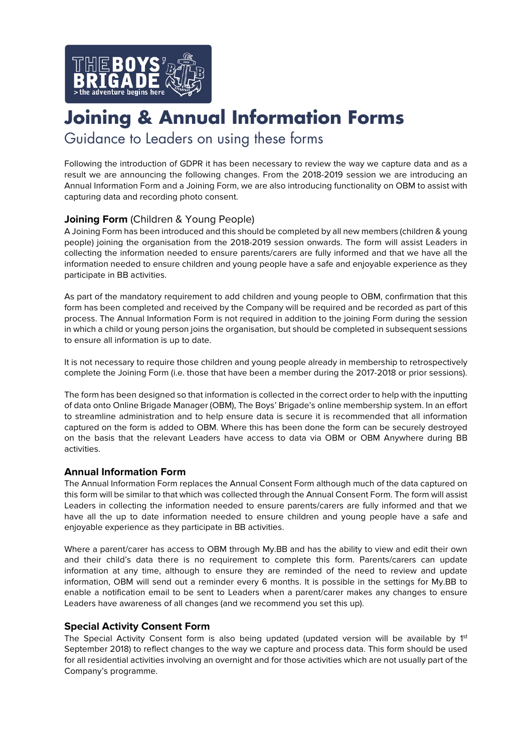

# **Joining & Annual Information Forms**

Guidance to Leaders on using these forms

Following the introduction of GDPR it has been necessary to review the way we capture data and as a result we are announcing the following changes. From the 2018-2019 session we are introducing an Annual Information Form and a Joining Form, we are also introducing functionality on OBM to assist with capturing data and recording photo consent.

# **Joining Form** (Children & Young People)

A Joining Form has been introduced and this should be completed by all new members (children & young people) joining the organisation from the 2018-2019 session onwards. The form will assist Leaders in collecting the information needed to ensure parents/carers are fully informed and that we have all the information needed to ensure children and young people have a safe and enjoyable experience as they participate in BB activities.

As part of the mandatory requirement to add children and young people to OBM, confirmation that this form has been completed and received by the Company will be required and be recorded as part of this process. The Annual Information Form is not required in addition to the joining Form during the session in which a child or young person joins the organisation, but should be completed in subsequent sessions to ensure all information is up to date.

It is not necessary to require those children and young people already in membership to retrospectively complete the Joining Form (i.e. those that have been a member during the 2017-2018 or prior sessions).

The form has been designed so that information is collected in the correct order to help with the inputting of data onto Online Brigade Manager (OBM), The Boys' Brigade's online membership system. In an effort to streamline administration and to help ensure data is secure it is recommended that all information captured on the form is added to OBM. Where this has been done the form can be securely destroyed on the basis that the relevant Leaders have access to data via OBM or OBM Anywhere during BB activities.

## **Annual Information Form**

The Annual Information Form replaces the Annual Consent Form although much of the data captured on this form will be similar to that which was collected through the Annual Consent Form. The form will assist Leaders in collecting the information needed to ensure parents/carers are fully informed and that we have all the up to date information needed to ensure children and young people have a safe and enjoyable experience as they participate in BB activities.

Where a parent/carer has access to OBM through My.BB and has the ability to view and edit their own and their child's data there is no requirement to complete this form. Parents/carers can update information at any time, although to ensure they are reminded of the need to review and update information, OBM will send out a reminder every 6 months. It is possible in the settings for My.BB to enable a notification email to be sent to Leaders when a parent/carer makes any changes to ensure Leaders have awareness of all changes (and we recommend you set this up).

### **Special Activity Consent Form**

The Special Activity Consent form is also being updated (updated version will be available by 1<sup>st</sup> September 2018) to reflect changes to the way we capture and process data. This form should be used for all residential activities involving an overnight and for those activities which are not usually part of the Company's programme.